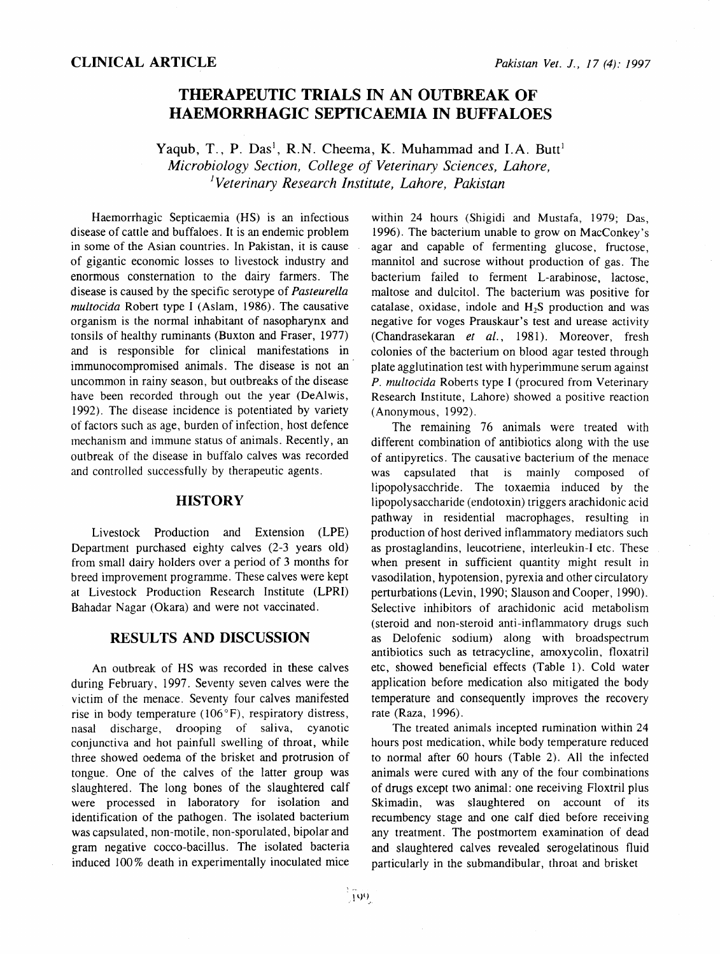# **THERAPEUTIC TRIALS IN AN OUTBREAK OF HAEMORRHAGIC SEPTICAEMIA IN BUFFALOES**

Yaqub, T., P. Das<sup>1</sup>, R.N. Cheema, K. Muhammad and I.A. Butt<sup>1</sup> *Microbiology Section, College of Veterinary Sciences, Lahore, 1 Veterinary Research Institute, Lahore, Pakistan* 

Haemorrhagic Septicaemia (HS) is an infectious disease of cattle and buffaloes. It is an endemic problem in some of the Asian countries. In Pakistan, it is cause of gigantic economic losses to livestock industry and enormous consternation to the dairy farmers. The disease is caused by the specific serotype of *Pasteurella multocida* Robert type I (Aslam, 1986). The causative organism is the normal inhabitant of nasopharynx and tonsils of healthy ruminants (Buxton and Fraser, 1977) and is responsible for clinical manifestations in immunocompromised animals. The disease is not an uncommon in rainy season, but outbreaks of the disease have been recorded through out the year (DeAlwis, 1992). The disease incidence is potentiated by variety of factors such as age, burden of infection, host defence mechanism and immune status of animals. Recently, an outbreak of the disease in buffalo calves was recorded and controlled successfully by therapeutic agents.

#### **HISTORY**

Livestock Production and Extension (LPE) Department purchased eighty calves (2-3 years old) from small dairy holders over a period of 3 months for breed improvement programme. These calves were kept at Livestock Production Research Institute (LPRI) Bahadar Nagar (Okara) and were not vaccinated.

## **RESULTS AND DISCUSSION**

An outbreak of HS was recorded in these calves during February, 1997. Seventy seven calves were the victim of the menace. Seventy four calves manifested rise in body temperature  $(106^{\circ}F)$ , respiratory distress, nasal discharge, drooping of saliva, cyanotic conjunctiva and hot painfull swelling of throat, while three showed oedema of the brisket and protrusion of tongue. One of the calves of the latter group was slaughtered. The long bones of the slaughtered calf were processed in laboratory for isolation and identification of the pathogen. The isolated bacterium was capsulated, non-motile, non-sporulated, bipolar and gram negative cocco-bacillus. The isolated bacteria induced 100% death in experimentally inoculated mice

within 24 hours (Shigidi and Mustafa, 1979; Das, 1996). The bacterium unable to grow on MacConkey's agar and capable of fermenting glucose, fructose, mannitol and sucrose without production of gas. The bacterium failed to ferment L-arabinose, lactose, maltose and dulcitol. The bacterium was positive for catalase, oxidase, indole and H<sub>2</sub>S production and was negative for voges Prauskaur's test and urease activity (Chandrasekaran *et al.,* 1981). Moreover, fresh colonies of the bacterium on blood agar tested through plate agglutination test with hyperimmune serum against *P. multocida* Roberts type I (procured from Veterinary Research Institute, Lahore) showed a positive reaction (Anonymous, 1992).

The remaining 76 animals were treated with different combination of antibiotics along with the use of antipyretics. The causative bacterium of the menace was capsulated that is mainly composed of lipopolysacchride. The toxaemia induced by the lipopolysaccharide (endotoxin) triggers arachidonic acid pathway in residential macrophages, resulting in production of host derived inflammatory mediators such as prostaglandins, leucotriene, interleukin-I etc. These when present in sufficient quantity might result in vasodilation, hypotension, pyrexia and other circulatory perturbations (Levin, 1990; Slauson and Cooper, 1990). Selective inhibitors of arachidonic acid metabolism (steroid and non-steroid anti-int1ammatory drugs such as Delofenic sodium) along with broadspectrum antibiotics such as tetracycline, amoxycolin, floxatril etc, showed beneficial effects (Table 1). Cold water application before medication also mitigated the body temperature and consequently improves the recovery rate (Raza, 1996).

The treated animals incepted rumination within 24 hours post medication, while body temperature reduced to normal after 60 hours (Table 2). All the infected animals were cured with any of the four combinations of drugs except two animal: one receiving Floxtril plus Skimadin, was slaughtered on account of its recumbency stage and one calf died before receiving any treatment. The postmortem examination of dead and slaughtered calves revealed serogelatinous fluid particularly in the submandibular, throat and brisket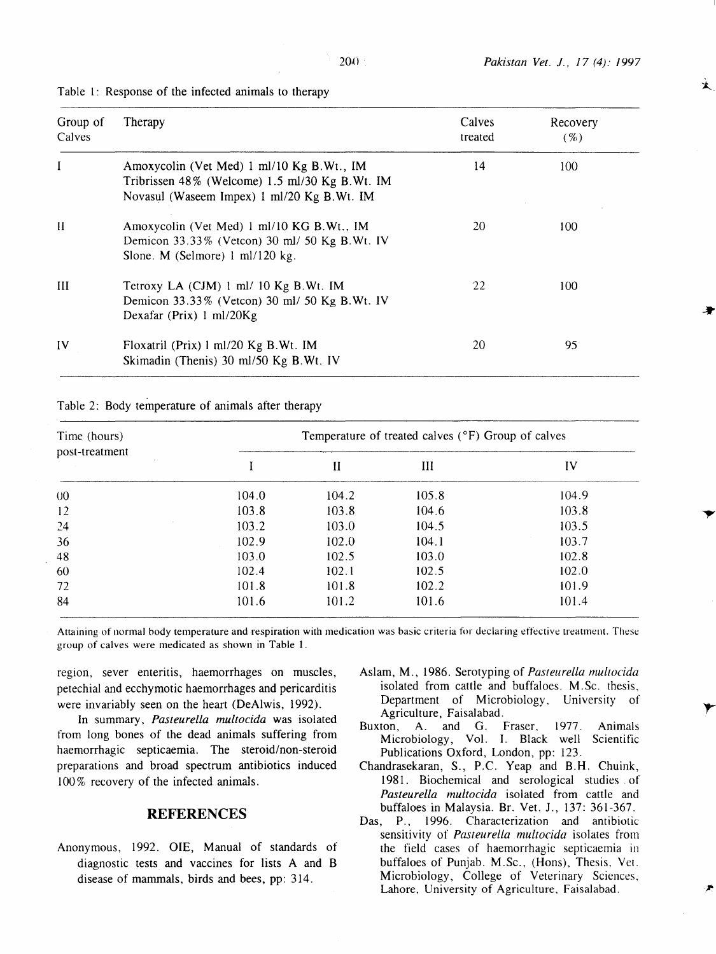$\star$ 

| Group of<br>Calves | Therapy                                                                                                                                   | Calves<br>treated | Recovery<br>$( \% )$ |
|--------------------|-------------------------------------------------------------------------------------------------------------------------------------------|-------------------|----------------------|
| I                  | Amoxycolin (Vet Med) 1 ml/10 Kg B.Wt., IM<br>Tribrissen 48% (Welcome) 1.5 ml/30 Kg B.Wt. IM<br>Novasul (Waseem Impex) 1 ml/20 Kg B.Wt. IM | 14                | 100                  |
| Н                  | Amoxycolin (Vet Med) 1 ml/10 KG B.Wt., IM<br>Demicon 33.33% (Vetcon) 30 ml/ 50 Kg B.Wt. IV<br>Slone. M (Selmore) 1 ml/120 kg.             | 20                | 100                  |
| Ш                  | Tetroxy LA (CJM) 1 ml/ 10 Kg B.Wt. IM<br>Demicon 33.33% (Vetcon) 30 ml/ 50 Kg B.Wt. IV<br>Dexafar (Prix) $1 \text{ ml}/20\text{Kg}$       | 22                | 100                  |
| IV                 | Floxatril (Prix) 1 ml/20 Kg B.Wt. IM<br>Skimadin (Thenis) 30 ml/50 Kg B.Wt. IV                                                            | 20                | 95                   |

#### Table 1: Response of the infected animals to therapy

Table 2: Body temperature of animals after therapy

| Time (hours)   | Temperature of treated calves (°F) Group of calves |       |       |       |  |
|----------------|----------------------------------------------------|-------|-------|-------|--|
| post-treatment |                                                    | П     | III   | IV    |  |
| 00             | 104.0                                              | 104.2 | 105.8 | 104.9 |  |
| 12             | 103.8                                              | 103.8 | 104.6 | 103.8 |  |
| 24             | 103.2                                              | 103.0 | 104.5 | 103.5 |  |
| 36             | 102.9                                              | 102.0 | 104.1 | 103.7 |  |
| 48             | 103.0                                              | 102.5 | 103.0 | 102.8 |  |
| 60             | 102.4                                              | 102.1 | 102.5 | 102.0 |  |
| 72             | 101.8                                              | 101.8 | 102.2 | 101.9 |  |
| 84             | 101.6                                              | 101.2 | 101.6 | 101.4 |  |

Attaining of normal body temperature and respiration with medication was basic criteria for declaring effective treatment. These group of calves were medicated as shown in Table 1.

region, sever enteritis, haemorrhages on muscles, petechial and ecchymotic haemorrhages and pericarditis were invariably seen on the heart (DeAlwis, 1992).

In summary, *Pasteurella multocida* was isolated from long bones of the dead animals suffering from haemorrhagic septicaemia. The steroid/non-steroid preparations and broad spectrum antibiotics induced 100% recovery of the infected animals.

## **REFERENCES**

Anonymous, 1992. OlE, Manual of standards of diagnostic tests and vaccines for lists A and B disease of mammals, birds and bees, pp: 314.

- Aslam, M., 1986. Serotyping of *Pasteurella multocida*  isolated from cattle and buffaloes. M.Sc. thesis, Department of Microbiology, University of Agriculture, Faisalabad.
- Buxton, A. and G. Fraser, 1977. Animals Microbiology, Vol. I. Black well Scientific Publications Oxford, London, pp: 123.
- Chandrasekaran, S., P.C. Yeap and B.H. Chuink, 1981. Biochemical and serological studies . of *Pasteurella multocida* isolated from cattle and buffaloes in Malaysia. Br. Vet. J., 137: 361-367.
- Das, P., 1996. Characterization and antibiotic sensitivity of *Pasteurella multocida* isolates from the field cases of haemorrhagic septicaemia in buffaloes of Punjab. M.Sc., (Hons). Thesis, Yet. Microbiology, College of Veterinary Sciences. Lahore, University of Agriculture, Faisalabad.